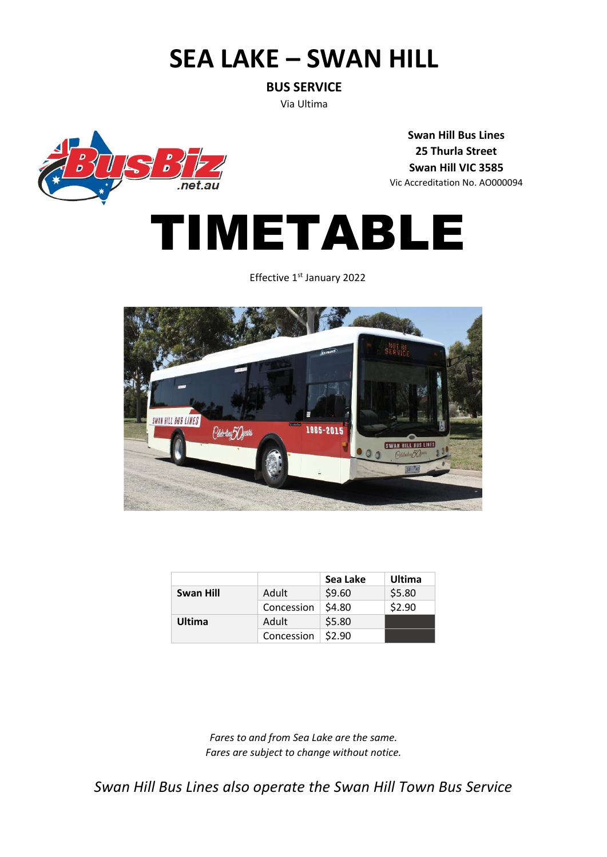# **SEA LAKE – SWAN HILL**

**BUS SERVICE**

Via Ultima



**Swan Hill Bus Lines 25 Thurla Street Swan Hill VIC 3585** Vic Accreditation No. AO000094



Effective 1<sup>st</sup> January 2022



|           |            | Sea Lake | Ultima |
|-----------|------------|----------|--------|
| Swan Hill | Adult      | \$9.60   | \$5.80 |
|           | Concession | \$4.80   | \$2.90 |
| Ultima    | Adult      | \$5.80   |        |
|           | Concession | \$2.90   |        |

*Fares to and from Sea Lake are the same. Fares are subject to change without notice.*

*Swan Hill Bus Lines also operate the Swan Hill Town Bus Service*